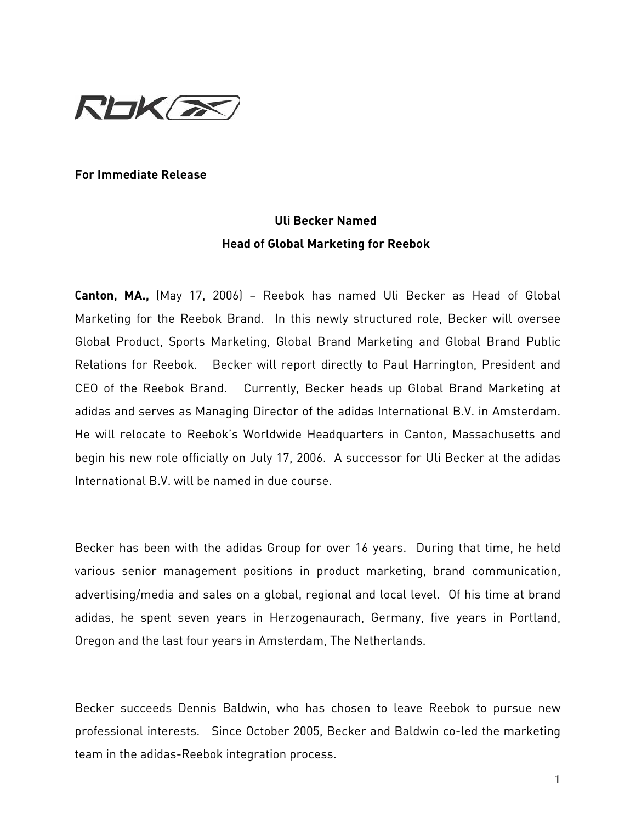

## **For Immediate Release**

## **Uli Becker Named Head of Global Marketing for Reebok**

**Canton, MA.,** (May 17, 2006) – Reebok has named Uli Becker as Head of Global Marketing for the Reebok Brand. In this newly structured role, Becker will oversee Global Product, Sports Marketing, Global Brand Marketing and Global Brand Public Relations for Reebok. Becker will report directly to Paul Harrington, President and CEO of the Reebok Brand. Currently, Becker heads up Global Brand Marketing at adidas and serves as Managing Director of the adidas International B.V. in Amsterdam. He will relocate to Reebok's Worldwide Headquarters in Canton, Massachusetts and begin his new role officially on July 17, 2006. A successor for Uli Becker at the adidas International B.V. will be named in due course.

Becker has been with the adidas Group for over 16 years. During that time, he held various senior management positions in product marketing, brand communication, advertising/media and sales on a global, regional and local level. Of his time at brand adidas, he spent seven years in Herzogenaurach, Germany, five years in Portland, Oregon and the last four years in Amsterdam, The Netherlands.

Becker succeeds Dennis Baldwin, who has chosen to leave Reebok to pursue new professional interests. Since October 2005, Becker and Baldwin co-led the marketing team in the adidas-Reebok integration process.